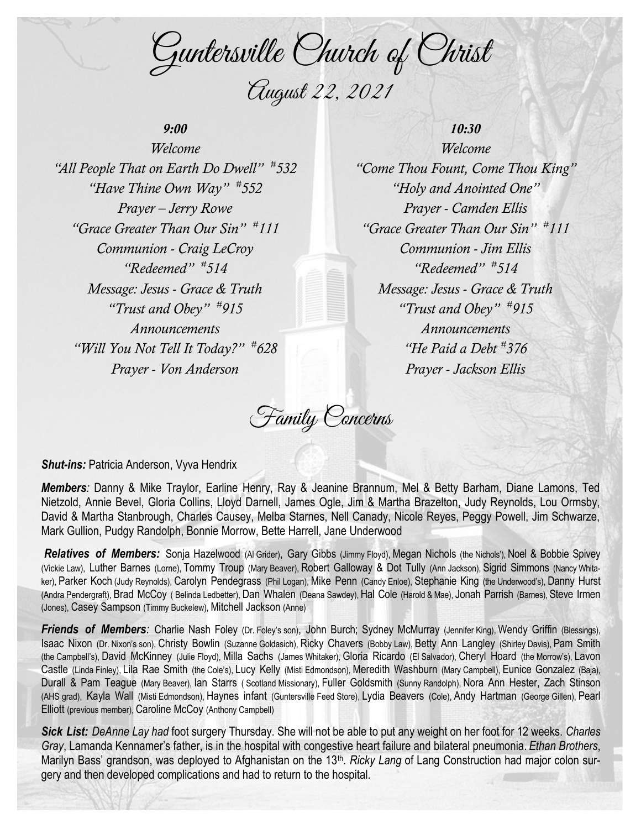Guntersville Church of Christ August 22, 2021

## *9:00*

*Welcome "All People That on Earth Do Dwell" # 532 "Have Thine Own Way" # 552 Prayer – Jerry Rowe "Grace Greater Than Our Sin" # 111 Communion - Craig LeCroy "Redeemed" # 514 Message: Jesus - Grace & Truth "Trust and Obey" # 915 Announcements "Will You Not Tell It Today?" # 628 Prayer - Von Anderson*

## *10:30*

*Welcome "Come Thou Fount, Come Thou King" "Holy and Anointed One" Prayer - Camden Ellis "Grace Greater Than Our Sin" # 111 Communion - Jim Ellis "Redeemed" # 514 Message: Jesus - Grace & Truth "Trust and Obey" # 915 Announcements "He Paid a Debt # 376 Prayer - Jackson Ellis*

Family Concerns

**Shut-ins: Patricia Anderson, Vyva Hendrix** 

*Members:* Danny & Mike Traylor, Earline Henry, Ray & Jeanine Brannum, Mel & Betty Barham, Diane Lamons, Ted Nietzold, Annie Bevel, Gloria Collins, Lloyd Darnell, James Ogle, Jim & Martha Brazelton, Judy Reynolds, Lou Ormsby, David & Martha Stanbrough, Charles Causey, Melba Starnes, Nell Canady, Nicole Reyes, Peggy Powell, Jim Schwarze, Mark Gullion, Pudgy Randolph, Bonnie Morrow, Bette Harrell, Jane Underwood

*Relatives of Members:* Sonja Hazelwood (Al Grider), Gary Gibbs (Jimmy Floyd), Megan Nichols (the Nichols'), Noel & Bobbie Spivey (Vickie Law), Luther Barnes (Lorne), Tommy Troup (Mary Beaver), Robert Galloway & Dot Tully (Ann Jackson), Sigrid Simmons (Nancy Whitaker), Parker Koch (Judy Reynolds), Carolyn Pendegrass (Phil Logan), Mike Penn (Candy Enloe), Stephanie King (the Underwood's), Danny Hurst (Andra Pendergraft), Brad McCoy ( Belinda Ledbetter), Dan Whalen (Deana Sawdey), Hal Cole (Harold & Mae), Jonah Parrish (Barnes), Steve Irmen (Jones), Casey Sampson (Timmy Buckelew), Mitchell Jackson (Anne)

*Friends of Members*: Charlie Nash Foley (Dr. Foley's son), John Burch; Sydney McMurray (Jennifer King), Wendy Griffin (Blessings), Isaac Nixon (Dr. Nixon's son), Christy Bowlin (Suzanne Goldasich), Ricky Chavers (Bobby Law), Betty Ann Langley (Shirley Davis), Pam Smith (the Campbell's), David McKinney (Julie Floyd), Milla Sachs (James Whitaker), Gloria Ricardo (El Salvador), Cheryl Hoard (the Morrow's), Lavon Castle (Linda Finley), Lila Rae Smith (the Cole's), Lucy Kelly (Misti Edmondson), Meredith Washburn (Mary Campbell), Eunice Gonzalez (Baja), Durall & Pam Teague (Mary Beaver), Ian Starrs ( Scotland Missionary), Fuller Goldsmith (Sunny Randolph), Nora Ann Hester, Zach Stinson (AHS grad), Kayla Wall (Misti Edmondson), Haynes infant (Guntersville Feed Store), Lydia Beavers (Cole), Andy Hartman (George Gillen), Pearl Elliott (previous member), Caroline McCoy (Anthony Campbell)

*Sick List: DeAnne Lay had* foot surgery Thursday. She will not be able to put any weight on her foot for 12 weeks. *Charles Gray*, Lamanda Kennamer's father, is in the hospital with congestive heart failure and bilateral pneumonia. *Ethan Brothers*, Marilyn Bass' grandson, was deployed to Afghanistan on the 13<sup>th</sup>. Ricky Lang of Lang Construction had major colon surgery and then developed complications and had to return to the hospital.